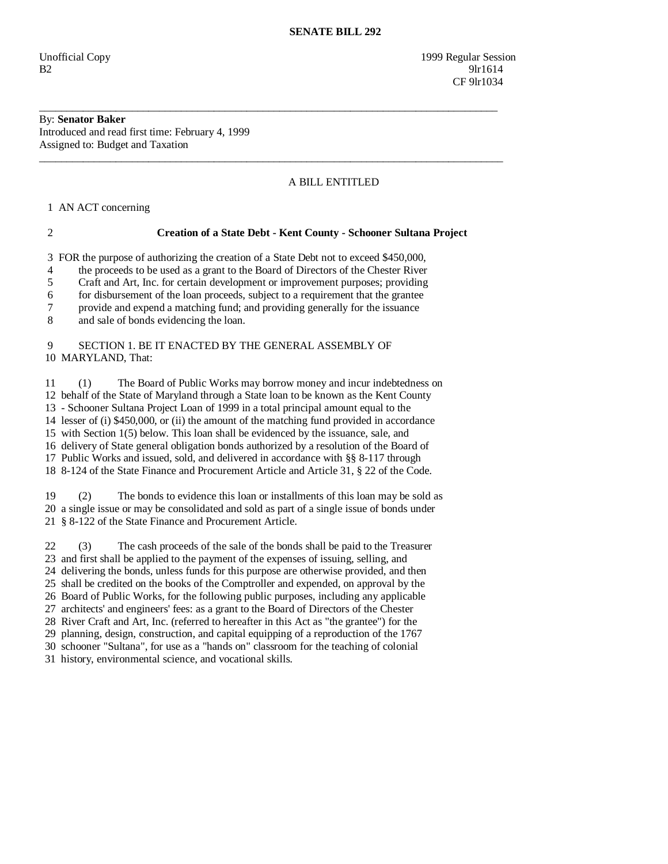Unofficial Copy 1999 Regular Session  $B2$  9lr1614 CF 9lr1034

### By: **Senator Baker**  Introduced and read first time: February 4, 1999 Assigned to: Budget and Taxation

# A BILL ENTITLED

1 AN ACT concerning

## 2 **Creation of a State Debt - Kent County - Schooner Sultana Project**

3 FOR the purpose of authorizing the creation of a State Debt not to exceed \$450,000,

\_\_\_\_\_\_\_\_\_\_\_\_\_\_\_\_\_\_\_\_\_\_\_\_\_\_\_\_\_\_\_\_\_\_\_\_\_\_\_\_\_\_\_\_\_\_\_\_\_\_\_\_\_\_\_\_\_\_\_\_\_\_\_\_\_\_\_\_\_\_\_\_\_\_\_\_\_\_\_\_\_\_\_\_

\_\_\_\_\_\_\_\_\_\_\_\_\_\_\_\_\_\_\_\_\_\_\_\_\_\_\_\_\_\_\_\_\_\_\_\_\_\_\_\_\_\_\_\_\_\_\_\_\_\_\_\_\_\_\_\_\_\_\_\_\_\_\_\_\_\_\_\_\_\_\_\_\_\_\_\_\_\_\_\_\_\_\_\_\_

4 the proceeds to be used as a grant to the Board of Directors of the Chester River

5 Craft and Art, Inc. for certain development or improvement purposes; providing

6 for disbursement of the loan proceeds, subject to a requirement that the grantee

7 provide and expend a matching fund; and providing generally for the issuance

8 and sale of bonds evidencing the loan.

### 9 SECTION 1. BE IT ENACTED BY THE GENERAL ASSEMBLY OF 10 MARYLAND, That:

 11 (1) The Board of Public Works may borrow money and incur indebtedness on 12 behalf of the State of Maryland through a State loan to be known as the Kent County 13 - Schooner Sultana Project Loan of 1999 in a total principal amount equal to the 14 lesser of (i) \$450,000, or (ii) the amount of the matching fund provided in accordance 15 with Section 1(5) below. This loan shall be evidenced by the issuance, sale, and 16 delivery of State general obligation bonds authorized by a resolution of the Board of 17 Public Works and issued, sold, and delivered in accordance with §§ 8-117 through 18 8-124 of the State Finance and Procurement Article and Article 31, § 22 of the Code.

 19 (2) The bonds to evidence this loan or installments of this loan may be sold as 20 a single issue or may be consolidated and sold as part of a single issue of bonds under 21 § 8-122 of the State Finance and Procurement Article.

 22 (3) The cash proceeds of the sale of the bonds shall be paid to the Treasurer 23 and first shall be applied to the payment of the expenses of issuing, selling, and 24 delivering the bonds, unless funds for this purpose are otherwise provided, and then 25 shall be credited on the books of the Comptroller and expended, on approval by the 26 Board of Public Works, for the following public purposes, including any applicable 27 architects' and engineers' fees: as a grant to the Board of Directors of the Chester 28 River Craft and Art, Inc. (referred to hereafter in this Act as "the grantee") for the 29 planning, design, construction, and capital equipping of a reproduction of the 1767 30 schooner "Sultana", for use as a "hands on" classroom for the teaching of colonial

31 history, environmental science, and vocational skills.